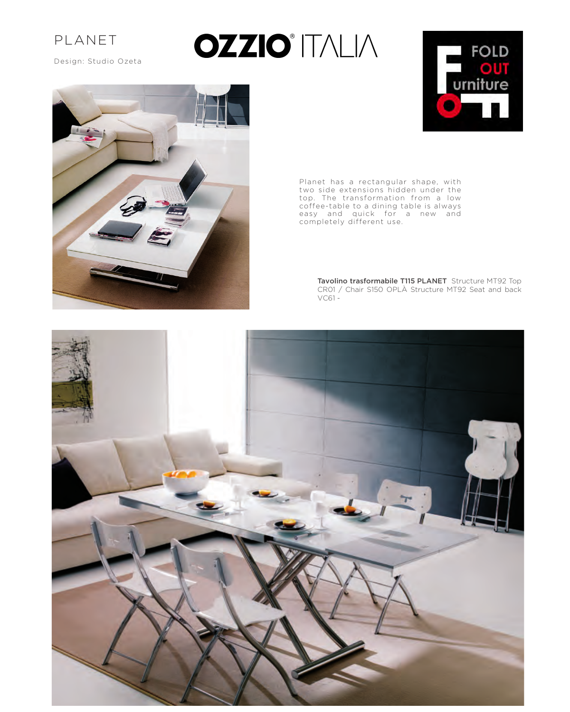

Design: Studio Ozeta

## **OZZIO**<sup>\*</sup> ITALIA





Planet has a rectangular shape, with two side extensions hidden under the top. The transformation from a low coffee-table to a dining table is always easy and quick for a new and completely different use.

> **Tavolino trasformabile T115 PLANET** Structure MT92 Top CR01 / Chair S150 OPLÀ Structure MT92 Seat and back VC61 -